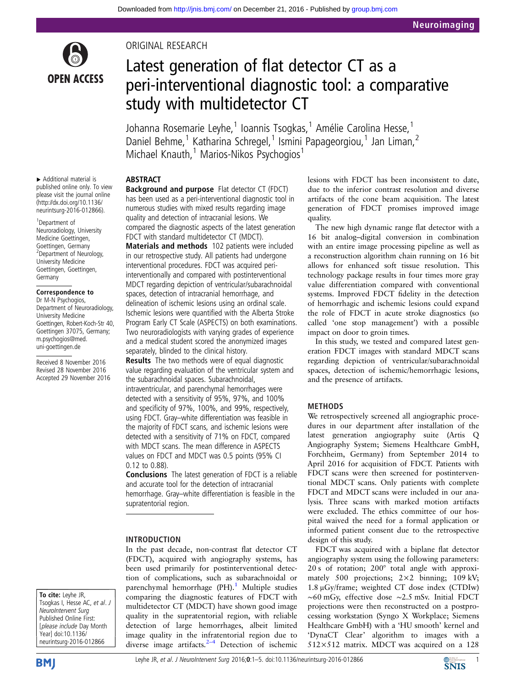

# ORIGINAL RESEARCH

# Latest generation of flat detector CT as a peri-interventional diagnostic tool: a comparative study with multidetector CT

Johanna Rosemarie Leyhe,<sup>1</sup> Ioannis Tsogkas,<sup>1</sup> Amélie Carolina Hesse,<sup>1</sup> Daniel Behme,<sup>1</sup> Katharina Schregel,<sup>1</sup> Ismini Papageorgiou,<sup>1</sup> Jan Liman,<sup>2</sup> Michael Knauth,<sup>1</sup> Marios-Nikos Psychogios<sup>1</sup>

ABSTRACT

▸ Additional material is published online only. To view please visit the journal online [\(http://dx.doi.org/10.1136/](http://dx.doi.org/10.1136/neurintsurg-2016-012866) [neurintsurg-2016-012866](http://dx.doi.org/10.1136/neurintsurg-2016-012866)).

1 Department of Neuroradiology, University Medicine Goettingen, Goettingen, Germany <sup>2</sup>Department of Neurology, University Medicine Goettingen, Goettingen, **Germany** 

#### Correspondence to

Dr M-N Psychogios, Department of Neuroradiology, University Medicine Goettingen, Robert-Koch-Str 40, Goettingen 37075, Germany; m.psychogios@med. uni-goettingen.de

Received 8 November 2016 Revised 28 November 2016 Accepted 29 November 2016 Background and purpose Flat detector CT (FDCT) has been used as a peri-interventional diagnostic tool in numerous studies with mixed results regarding image quality and detection of intracranial lesions. We compared the diagnostic aspects of the latest generation FDCT with standard multidetector CT (MDCT).

Materials and methods 102 patients were included in our retrospective study. All patients had undergone interventional procedures. FDCT was acquired periinterventionally and compared with postinterventional MDCT regarding depiction of ventricular/subarachnoidal spaces, detection of intracranial hemorrhage, and delineation of ischemic lesions using an ordinal scale. Ischemic lesions were quantified with the Alberta Stroke Program Early CT Scale (ASPECTS) on both examinations. Two neuroradiologists with varying grades of experience and a medical student scored the anonymized images separately, blinded to the clinical history.

Results The two methods were of equal diagnostic value regarding evaluation of the ventricular system and the subarachnoidal spaces. Subarachnoidal, intraventricular, and parenchymal hemorrhages were detected with a sensitivity of 95%, 97%, and 100% and specificity of 97%, 100%, and 99%, respectively, using FDCT. Gray–white differentiation was feasible in the majority of FDCT scans, and ischemic lesions were detected with a sensitivity of 71% on FDCT, compared with MDCT scans. The mean difference in ASPECTS values on FDCT and MDCT was 0.5 points (95% CI 0.12 to 0.88).

Conclusions The latest generation of FDCT is a reliable and accurate tool for the detection of intracranial hemorrhage. Gray–white differentiation is feasible in the supratentorial region.

# INTRODUCTION

In the past decade, non-contrast flat detector CT (FDCT), acquired with angiography systems, has been used primarily for postinterventional detection of complications, such as subarachnoidal or parenchymal hemorrhage  $(PH).<sup>1</sup>$  $(PH).<sup>1</sup>$  $(PH).<sup>1</sup>$  Multiple studies comparing the diagnostic features of FDCT with multidetector CT (MDCT) have shown good image quality in the supratentorial region, with reliable detection of large hemorrhages, albeit limited image quality in the infratentorial region due to diverse image artifacts. $2-4$  $2-4$  Detection of ischemic lesions with FDCT has been inconsistent to date, due to the inferior contrast resolution and diverse artifacts of the cone beam acquisition. The latest generation of FDCT promises improved image quality.

The new high dynamic range flat detector with a 16 bit analog–digital conversion in combination with an entire image processing pipeline as well as a reconstruction algorithm chain running on 16 bit allows for enhanced soft tissue resolution. This technology package results in four times more gray value differentiation compared with conventional systems. Improved FDCT fidelity in the detection of hemorrhagic and ischemic lesions could expand the role of FDCT in acute stroke diagnostics (so called 'one stop management') with a possible impact on door to groin times.

In this study, we tested and compared latest generation FDCT images with standard MDCT scans regarding depiction of ventricular/subarachnoidal spaces, detection of ischemic/hemorrhagic lesions, and the presence of artifacts.

# METHODS

We retrospectively screened all angiographic procedures in our department after installation of the latest generation angiography suite (Artis Q Angiography System; Siemens Healthcare GmbH, Forchheim, Germany) from September 2014 to April 2016 for acquisition of FDCT. Patients with FDCT scans were then screened for postinterventional MDCT scans. Only patients with complete FDCT and MDCT scans were included in our analysis. Three scans with marked motion artifacts were excluded. The ethics committee of our hospital waived the need for a formal application or informed patient consent due to the retrospective design of this study.

FDCT was acquired with a biplane flat detector angiography system using the following parameters: 20 s of rotation; 200° total angle with approximately 500 projections; 2×2 binning; 109 kV; 1.8 μGy/frame; weighted CT dose index (CTDIw) ∼60 mGy, effective dose ∼2.5 mSv. Initial FDCT projections were then reconstructed on a postprocessing workstation (Syngo X Workplace; Siemens Healthcare GmbH) with a 'HU smooth' kernel and 'DynaCT Clear' algorithm to images with a 512×512 matrix. MDCT was acquired on a 128

To cite: Leyhe JR, Tsogkas I, Hesse AC, et al. J NeuroIntervent Surg Published Online First: [please include Day Month Year] doi:10.1136/ neurintsurg-2016-012866

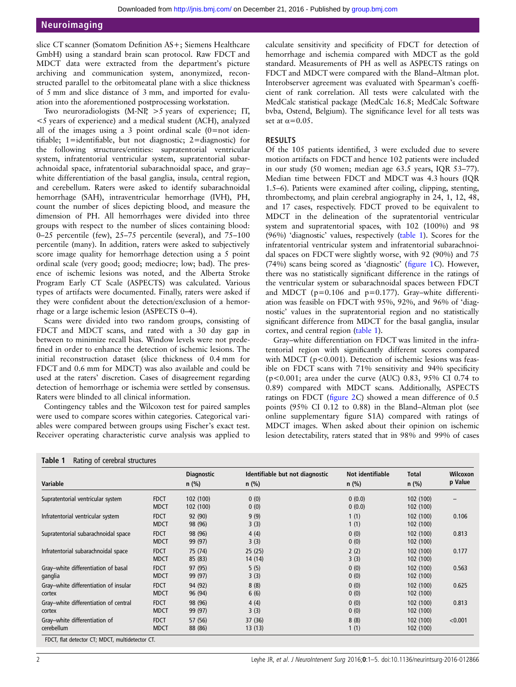slice CT scanner (Somatom Definition AS+; Siemens Healthcare GmbH) using a standard brain scan protocol. Raw FDCT and MDCT data were extracted from the department's picture archiving and communication system, anonymized, reconstructed parallel to the orbitomeatal plane with a slice thickness of 5 mm and slice distance of 3 mm, and imported for evaluation into the aforementioned postprocessing workstation.

Two neuroradiologists (M-NP, >5 years of experience; IT, <5 years of experience) and a medical student (ACH), analyzed all of the images using a 3 point ordinal scale  $(0=$ not identifiable; 1=identifiable, but not diagnostic; 2=diagnostic) for the following structures/entities: supratentorial ventricular system, infratentorial ventricular system, supratentorial subarachnoidal space, infratentorial subarachnoidal space, and gray– white differentiation of the basal ganglia, insula, central region, and cerebellum. Raters were asked to identify subarachnoidal hemorrhage (SAH), intraventricular hemorrhage (IVH), PH, count the number of slices depicting blood, and measure the dimension of PH. All hemorrhages were divided into three groups with respect to the number of slices containing blood: 0–25 percentile (few), 25–75 percentile (several), and 75–100 percentile (many). In addition, raters were asked to subjectively score image quality for hemorrhage detection using a 5 point ordinal scale (very good; good; mediocre; low; bad). The presence of ischemic lesions was noted, and the Alberta Stroke Program Early CT Scale (ASPECTS) was calculated. Various types of artifacts were documented. Finally, raters were asked if they were confident about the detection/exclusion of a hemorrhage or a large ischemic lesion (ASPECTS 0–4).

Scans were divided into two random groups, consisting of FDCT and MDCT scans, and rated with a 30 day gap in between to minimize recall bias. Window levels were not predefined in order to enhance the detection of ischemic lesions. The initial reconstruction dataset (slice thickness of 0.4 mm for FDCT and 0.6 mm for MDCT) was also available and could be used at the raters' discretion. Cases of disagreement regarding detection of hemorrhage or ischemia were settled by consensus. Raters were blinded to all clinical information.

Contingency tables and the Wilcoxon test for paired samples were used to compare scores within categories. Categorical variables were compared between groups using Fischer's exact test. Receiver operating characteristic curve analysis was applied to

calculate sensitivity and specificity of FDCT for detection of hemorrhage and ischemia compared with MDCT as the gold standard. Measurements of PH as well as ASPECTS ratings on FDCT and MDCT were compared with the Bland–Altman plot. Interobserver agreement was evaluated with Spearman's coefficient of rank correlation. All tests were calculated with the MedCalc statistical package (MedCalc 16.8; MedCalc Software bvba, Ostend, Belgium). The significance level for all tests was set at  $\alpha$ =0.05.

#### RESULTS

Of the 105 patients identified, 3 were excluded due to severe motion artifacts on FDCT and hence 102 patients were included in our study (50 women; median age 63.5 years, IQR 53–77). Median time between FDCT and MDCT was 4.3 hours (IQR 1.5–6). Patients were examined after coiling, clipping, stenting, thrombectomy, and plain cerebral angiography in 24, 1, 12, 48, and 17 cases, respectively. FDCT proved to be equivalent to MDCT in the delineation of the supratentorial ventricular system and supratentorial spaces, with 102 (100%) and 98 (96%) 'diagnostic' values, respectively (table 1). Scores for the infratentorial ventricular system and infratentorial subarachnoidal spaces on FDCT were slightly worse, with 92 (90%) and 75 (74%) scans being scored as 'diagnostic' (fi[gure 1](#page-2-0)C). However, there was no statistically significant difference in the ratings of the ventricular system or subarachnoidal spaces between FDCT and MDCT ( $p=0.106$  and  $p=0.177$ ). Gray-white differentiation was feasible on FDCT with 95%, 92%, and 96% of 'diagnostic' values in the supratentorial region and no statistically significant difference from MDCT for the basal ganglia, insular cortex, and central region (table 1).

Gray–white differentiation on FDCT was limited in the infratentorial region with significantly different scores compared with MDCT (p<0.001). Detection of ischemic lesions was feasible on FDCT scans with 71% sensitivity and 94% specificity (p<0.001; area under the curve (AUC) 0.83, 95% CI 0.74 to 0.89) compared with MDCT scans. Additionally, ASPECTS ratings on FDCT (fi[gure 2C](#page-2-0)) showed a mean difference of 0.5 points (95% CI 0.12 to 0.88) in the Bland–Altman plot (see online [supplementary](http://dx.doi.org/10.1136/neurintsurg-2016-012866) figure [S1A](http://dx.doi.org/10.1136/neurintsurg-2016-012866)) compared with ratings of MDCT images. When asked about their opinion on ischemic lesion detectability, raters stated that in 98% and 99% of cases

|                                                 |                            | <b>Diagnostic</b><br>$n$ (%) | Identifiable but not diagnostic<br>$n$ (%) | Not identifiable<br>$n$ (%) | <b>Total</b><br>$n$ (%) | <b>Wilcoxon</b><br>p Value |
|-------------------------------------------------|----------------------------|------------------------------|--------------------------------------------|-----------------------------|-------------------------|----------------------------|
| Variable                                        |                            |                              |                                            |                             |                         |                            |
| Supratentorial ventricular system               | <b>FDCT</b><br><b>MDCT</b> | 102 (100)<br>102 (100)       | 0(0)<br>0(0)                               | 0(0.0)<br>0(0.0)            | 102(100)<br>102(100)    |                            |
| Infratentorial ventricular system               | <b>FDCT</b><br><b>MDCT</b> | 92 (90)<br>98 (96)           | 9(9)<br>3(3)                               | 1(1)<br>1(1)                | 102(100)<br>102 (100)   | 0.106                      |
| Supratentorial subarachnoidal space             | <b>FDCT</b><br><b>MDCT</b> | 98 (96)<br>99 (97)           | 4(4)<br>3(3)                               | 0(0)<br>0(0)                | 102 (100)<br>102(100)   | 0.813                      |
| Infratentorial subarachnoidal space             | <b>FDCT</b><br><b>MDCT</b> | 75 (74)<br>85 (83)           | 25(25)<br>14 (14)                          | 2(2)<br>3(3)                | 102 (100)<br>102 (100)  | 0.177                      |
| Gray-white differentiation of basal<br>ganglia  | <b>FDCT</b><br><b>MDCT</b> | 97 (95)<br>99 (97)           | 5(5)<br>3(3)                               | 0(0)<br>0(0)                | 102(100)<br>102 (100)   | 0.563                      |
| Gray-white differentiation of insular<br>cortex | <b>FDCT</b><br><b>MDCT</b> | 94 (92)<br>96 (94)           | 8(8)<br>6(6)                               | 0(0)<br>0(0)                | 102 (100)<br>102(100)   | 0.625                      |
| Gray-white differentiation of central<br>cortex | <b>FDCT</b><br><b>MDCT</b> | 98 (96)<br>99 (97)           | 4(4)<br>3(3)                               | 0(0)<br>0(0)                | 102 (100)<br>102(100)   | 0.813                      |
| Gray-white differentiation of<br>cerebellum     | <b>FDCT</b><br><b>MDCT</b> | 57 (56)<br>88 (86)           | 37 (36)<br>13 (13)                         | 8(8)<br>1(1)                | 102 (100)<br>102 (100)  | < 0.001                    |

FDCT, flat detector CT; MDCT, multidetector CT.

Table 1 Rating of cerebral structures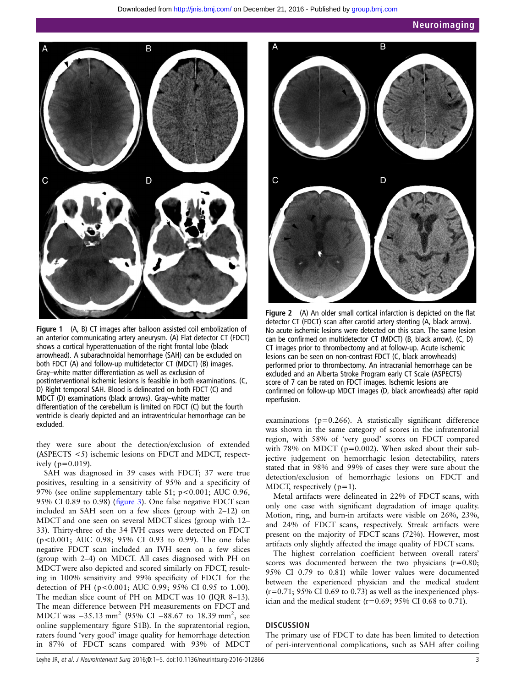<span id="page-2-0"></span>

Figure 1 (A, B) CT images after balloon assisted coil embolization of an anterior communicating artery aneurysm. (A) Flat detector CT (FDCT) shows a cortical hyperattenuation of the right frontal lobe (black arrowhead). A subarachnoidal hemorrhage (SAH) can be excluded on both FDCT (A) and follow-up multidetector CT (MDCT) (B) images. Gray–white matter differentiation as well as exclusion of postinterventional ischemic lesions is feasible in both examinations. (C, D) Right temporal SAH. Blood is delineated on both FDCT (C) and MDCT (D) examinations (black arrows). Gray–white matter differentiation of the cerebellum is limited on FDCT (C) but the fourth ventricle is clearly depicted and an intraventricular hemorrhage can be excluded.

they were sure about the detection/exclusion of extended (ASPECTS <5) ischemic lesions on FDCT and MDCT, respectively (p=0.019).

SAH was diagnosed in 39 cases with FDCT; 37 were true positives, resulting in a sensitivity of 95% and a specificity of 97% (see online [supplementary table S1](http://dx.doi.org/10.1136/neurintsurg-2016-012866); p<0.001; AUC 0.96, 95% CI 0.89 to 0.98) (fi[gure 3\)](#page-3-0). One false negative FDCT scan included an SAH seen on a few slices (group with 2–12) on MDCT and one seen on several MDCT slices (group with 12– 33). Thirty-three of the 34 IVH cases were detected on FDCT (p<0.001; AUC 0.98; 95% CI 0.93 to 0.99). The one false negative FDCT scan included an IVH seen on a few slices (group with 2–4) on MDCT. All cases diagnosed with PH on MDCTwere also depicted and scored similarly on FDCT, resulting in 100% sensitivity and 99% specificity of FDCT for the detection of PH (p<0.001; AUC 0.99; 95% CI 0.95 to 1.00). The median slice count of PH on MDCT was 10 (IQR 8–13). The mean difference between PH measurements on FDCT and MDCT was -35.13 mm<sup>2</sup> (95% CI -88.67 to 18.39 mm<sup>2</sup>, see online [supplementary](http://dx.doi.org/10.1136/neurintsurg-2016-012866) fi[gure S1B](http://dx.doi.org/10.1136/neurintsurg-2016-012866)). In the supratentorial region, raters found 'very good' image quality for hemorrhage detection in 87% of FDCT scans compared with 93% of MDCT



Figure 2 (A) An older small cortical infarction is depicted on the flat detector CT (FDCT) scan after carotid artery stenting (A, black arrow). No acute ischemic lesions were detected on this scan. The same lesion can be confirmed on multidetector CT (MDCT) (B, black arrow). (C, D) CT images prior to thrombectomy and at follow-up. Acute ischemic lesions can be seen on non-contrast FDCT (C, black arrowheads) performed prior to thrombectomy. An intracranial hemorrhage can be excluded and an Alberta Stroke Program early CT Scale (ASPECTS) score of 7 can be rated on FDCT images. Ischemic lesions are confirmed on follow-up MDCT images (D, black arrowheads) after rapid reperfusion.

examinations (p=0.266). A statistically significant difference was shown in the same category of scores in the infratentorial region, with 58% of 'very good' scores on FDCT compared with 78% on MDCT ( $p=0.002$ ). When asked about their subjective judgement on hemorrhagic lesion detectability, raters stated that in 98% and 99% of cases they were sure about the detection/exclusion of hemorrhagic lesions on FDCT and MDCT, respectively  $(p=1)$ .

Metal artifacts were delineated in 22% of FDCT scans, with only one case with significant degradation of image quality. Motion, ring, and burn-in artifacts were visible on 26%, 23%, and 24% of FDCT scans, respectively. Streak artifacts were present on the majority of FDCT scans (72%). However, most artifacts only slightly affected the image quality of FDCT scans.

The highest correlation coefficient between overall raters' scores was documented between the two physicians  $(r=0.80;$ 95% CI 0.79 to 0.81) while lower values were documented between the experienced physician and the medical student  $(r=0.71; 95\% \text{ CI } 0.69 \text{ to } 0.73)$  as well as the inexperienced physician and the medical student  $(r=0.69; 95\% \text{ CI } 0.68 \text{ to } 0.71)$ .

#### **DISCUSSION**

The primary use of FDCT to date has been limited to detection of peri-interventional complications, such as SAH after coiling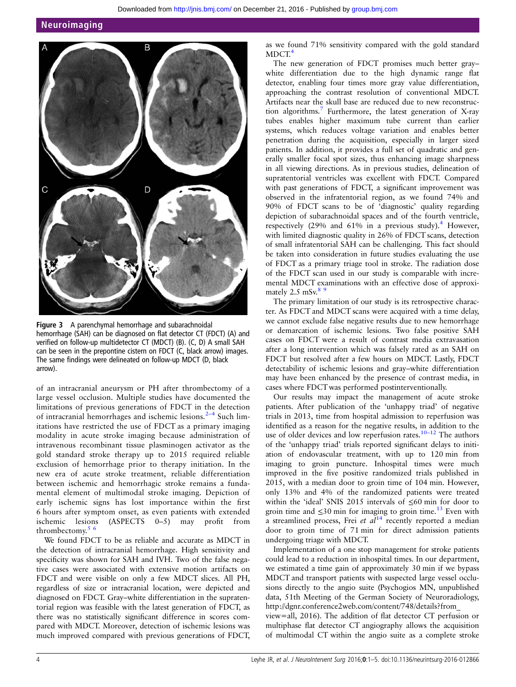#### <span id="page-3-0"></span>Neuroimaging



Figure 3 A parenchymal hemorrhage and subarachnoidal hemorrhage (SAH) can be diagnosed on flat detector CT (FDCT) (A) and verified on follow-up multidetector CT (MDCT) (B). (C, D) A small SAH can be seen in the prepontine cistern on FDCT (C, black arrow) images. The same findings were delineated on follow-up MDCT (D, black arrow).

of an intracranial aneurysm or PH after thrombectomy of a large vessel occlusion. Multiple studies have documented the limitations of previous generations of FDCT in the detection of intracranial hemorrhages and ischemic lesions.<sup>[2](#page-4-0)-4</sup> Such limitations have restricted the use of FDCT as a primary imaging modality in acute stroke imaging because administration of intravenous recombinant tissue plasminogen activator as the gold standard stroke therapy up to 2015 required reliable exclusion of hemorrhage prior to therapy initiation. In the new era of acute stroke treatment, reliable differentiation between ischemic and hemorrhagic stroke remains a fundamental element of multimodal stroke imaging. Depiction of early ischemic signs has lost importance within the first 6 hours after symptom onset, as even patients with extended ischemic lesions (ASPECTS 0–5) may profit from thrombectomy.<sup>5</sup> <sup>6</sup>

We found FDCT to be as reliable and accurate as MDCT in the detection of intracranial hemorrhage. High sensitivity and specificity was shown for SAH and IVH. Two of the false negative cases were associated with extensive motion artifacts on FDCT and were visible on only a few MDCT slices. All PH, regardless of size or intracranial location, were depicted and diagnosed on FDCT. Gray–white differentiation in the supratentorial region was feasible with the latest generation of FDCT, as there was no statistically significant difference in scores compared with MDCT. Moreover, detection of ischemic lesions was much improved compared with previous generations of FDCT,

as we found 71% sensitivity compared with the gold standard  $MDCT<sup>4</sup>$  $MDCT<sup>4</sup>$  $MDCT<sup>4</sup>$ 

The new generation of FDCT promises much better gray– white differentiation due to the high dynamic range flat detector, enabling four times more gray value differentiation, approaching the contrast resolution of conventional MDCT. Artifacts near the skull base are reduced due to new reconstruction algorithms.[7](#page-4-0) Furthermore, the latest generation of X-ray tubes enables higher maximum tube current than earlier systems, which reduces voltage variation and enables better penetration during the acquisition, especially in larger sized patients. In addition, it provides a full set of quadratic and generally smaller focal spot sizes, thus enhancing image sharpness in all viewing directions. As in previous studies, delineation of supratentorial ventricles was excellent with FDCT. Compared with past generations of FDCT, a significant improvement was observed in the infratentorial region, as we found 74% and 90% of FDCT scans to be of 'diagnostic' quality regarding depiction of subarachnoidal spaces and of the fourth ventricle, respectively  $(29\%$  and  $61\%$  in a previous study).<sup>[4](#page-4-0)</sup> However, with limited diagnostic quality in 26% of FDCT scans, detection of small infratentorial SAH can be challenging. This fact should be taken into consideration in future studies evaluating the use of FDCT as a primary triage tool in stroke. The radiation dose of the FDCT scan used in our study is comparable with incremental MDCT examinations with an effective dose of approximately  $2.5 \text{ mSv}^8$ .

The primary limitation of our study is its retrospective character. As FDCT and MDCT scans were acquired with a time delay, we cannot exclude false negative results due to new hemorrhage or demarcation of ischemic lesions. Two false positive SAH cases on FDCT were a result of contrast media extravasation after a long intervention which was falsely rated as an SAH on FDCT but resolved after a few hours on MDCT. Lastly, FDCT detectability of ischemic lesions and gray–white differentiation may have been enhanced by the presence of contrast media, in cases where FDCT was performed postinterventionally.

Our results may impact the management of acute stroke patients. After publication of the 'unhappy triad' of negative trials in 2013, time from hospital admission to reperfusion was identified as a reason for the negative results, in addition to the use of older devices and low reperfusion rates.<sup>10–[12](#page-4-0)</sup> The authors of the 'unhappy triad' trials reported significant delays to initiation of endovascular treatment, with up to 120 min from imaging to groin puncture. Inhospital times were much improved in the five positive randomized trials published in 2015, with a median door to groin time of 104 min. However, only 13% and 4% of the randomized patients were treated within the 'ideal' SNIS 2015 intervals of ≤60 min for door to groin time and  $\leq 30$  min for imaging to groin time.<sup>[13](#page-4-0)</sup> Even with a streamlined process, Frei et  $al^{14}$  $al^{14}$  $al^{14}$  recently reported a median door to groin time of 71 min for direct admission patients undergoing triage with MDCT.

Implementation of a one stop management for stroke patients could lead to a reduction in inhospital times. In our department, we estimated a time gain of approximately 30 min if we bypass MDCT and transport patients with suspected large vessel occlusions directly to the angio suite (Psychogios MN, unpublished data, 51th Meeting of the German Society of Neuroradiology, [http://dgnr.conference2web.com/content/748/details?from\\_](http://dgnr.conference2web.com/content/748/details?from_view=all)

[view=all,](http://dgnr.conference2web.com/content/748/details?from_view=all) 2016). The addition of flat detector CT perfusion or multiphase flat detector CT angiography allows the acquisition of multimodal CT within the angio suite as a complete stroke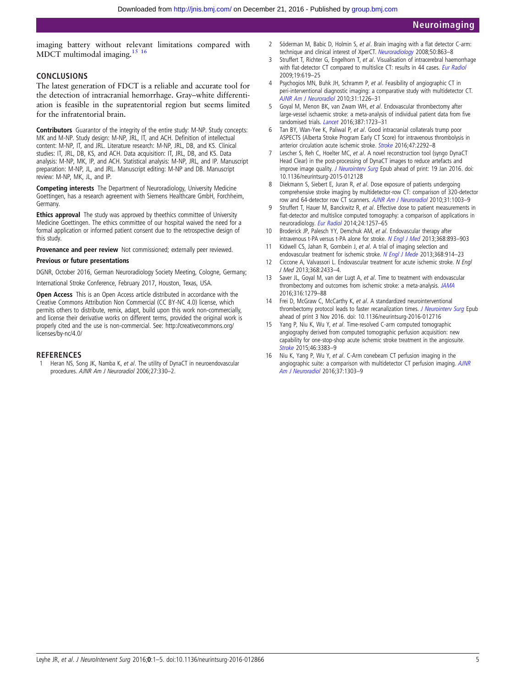<span id="page-4-0"></span>imaging battery without relevant limitations compared with MDCT multimodal imaging.15 16

# CONCLUSIONS

The latest generation of FDCT is a reliable and accurate tool for the detection of intracranial hemorrhage. Gray–white differentiation is feasible in the supratentorial region but seems limited for the infratentorial brain.

Contributors Guarantor of the integrity of the entire study: M-NP. Study concepts: MK and M-NP. Study design: M-NP, JRL, IT, and ACH. Definition of intellectual content: M-NP, IT, and JRL. Literature research: M-NP, JRL, DB, and KS. Clinical studies: IT, JRL, DB, KS, and ACH. Data acquisition: IT, JRL, DB, and KS. Data analysis: M-NP, MK, IP, and ACH. Statistical analysis: M-NP, JRL, and IP. Manuscript preparation: M-NP, JL, and JRL. Manuscript editing: M-NP and DB. Manuscript review: M-NP, MK, JL, and IP.

Competing interests The Department of Neuroradiology, University Medicine Goettingen, has a research agreement with Siemens Healthcare GmbH, Forchheim, Germany.

Ethics approval The study was approved by theethics committee of University Medicine Goettingen. The ethics committee of our hospital waived the need for a formal application or informed patient consent due to the retrospective design of this study.

Provenance and peer review Not commissioned; externally peer reviewed.

#### Previous or future presentations

DGNR, October 2016, German Neuroradiology Society Meeting, Cologne, Germany;

International Stroke Conference, February 2017, Houston, Texas, USA.

Open Access This is an Open Access article distributed in accordance with the Creative Commons Attribution Non Commercial (CC BY-NC 4.0) license, which permits others to distribute, remix, adapt, build upon this work non-commercially, and license their derivative works on different terms, provided the original work is properly cited and the use is non-commercial. See: [http://creativecommons.org/](http://creativecommons.org/licenses/by-nc/4.0/) [licenses/by-nc/4.0/](http://creativecommons.org/licenses/by-nc/4.0/)

#### **REFERENCES**

Heran NS, Song JK, Namba K, et al. The utility of DynaCT in neuroendovascular procedures. AJNR Am J Neuroradiol 2006;27:330–2.

- 2 Söderman M, Babic D, Holmin S, et al. Brain imaging with a flat detector C-arm: technique and clinical interest of XperCT. [Neuroradiology](http://dx.doi.org/10.1007/s00234-008-0419-1) 2008;50:863-8
- Struffert T, Richter G, Engelhorn T, et al. Visualisation of intracerebral haemorrhage with flat-detector CT compared to multislice CT: results in 44 cases. [Eur Radiol](http://dx.doi.org/10.1007/s00330-008-1183-7) 2009;19:619–25
- 4 Psychogios MN, Buhk JH, Schramm P, et al. Feasibility of angiographic CT in peri-interventional diagnostic imaging: a comparative study with multidetector CT. [AJNR Am J Neuroradiol](http://dx.doi.org/10.3174/ajnr.A2086) 2010;31:1226–31
- 5 Goyal M, Menon BK, van Zwam WH, et al. Endovascular thrombectomy after large-vessel ischaemic stroke: a meta-analysis of individual patient data from five randomised trials. [Lancet](http://dx.doi.org/10.1016/S0140-6736(16)00163-X) 2016;387:1723-31
- 6 Tan BY, Wan-Yee K, Paliwal P, et al. Good intracranial collaterals trump poor ASPECTS (Alberta Stroke Program Early CT Score) for intravenous thrombolysis in anterior circulation acute ischemic stroke. [Stroke](http://dx.doi.org/10.1161/STROKEAHA.116.013879) 2016;47:2292-8
- Lescher S, Reh C, Hoelter MC, et al. A novel reconstruction tool (syngo DynaCT Head Clear) in the post-processing of DynaCT images to reduce artefacts and improve image quality. [J Neurointerv Surg](http://dx.doi.org/10.1136/neurintsurg-2015-012128) Epub ahead of print: 19 Jan 2016. doi: 10.1136/neurintsurg-2015-012128
- 8 Diekmann S, Siebert E, Juran R, et al. Dose exposure of patients undergoing comprehensive stroke imaging by multidetector-row CT: comparison of 320-detector row and 64-detector row CT scanners. [AJNR Am J Neuroradiol](http://dx.doi.org/10.3174/ajnr.A1971) 2010;31:1003-9
- Struffert T, Hauer M, Banckwitz R, et al. Effective dose to patient measurements in flat-detector and multislice computed tomography: a comparison of applications in neuroradiology. [Eur Radiol](http://dx.doi.org/10.1007/s00330-014-3136-7) 2014;24:1257–65
- 10 Broderick JP, Palesch YY, Demchuk AM, et al. Endovascular therapy after intravenous t-PA versus t-PA alone for stroke. [N Engl J Med](http://dx.doi.org/10.1056/NEJMoa1214300) 2013;368:893-903
- 11 Kidwell CS, Jahan R, Gornbein J, et al. A trial of imaging selection and endovascular treatment for ischemic stroke. [N Engl J Mede](http://dx.doi.org/10.1056/NEJMoa1212793) 2013;368:914-23
- 12 Ciccone A, Valvassori L. Endovascular treatment for acute ischemic stroke. N Engl J Med 2013;368:2433–4.
- 13 Saver JL, Goyal M, van der Lugt A, et al. Time to treatment with endovascular thrombectomy and outcomes from ischemic stroke: a meta-analysis. [JAMA](http://dx.doi.org/10.1001/jama.2016.13647) 2016;316:1279–88
- 14 Frei D, McGraw C, McCarthy K, et al. A standardized neurointerventional thrombectomy protocol leads to faster recanalization times. J Neurointery Surg Epub ahead of print 3 Nov 2016. doi: 10.1136/neurintsurg-2016-012716
- Yang P, Niu K, Wu Y, et al. Time-resolved C-arm computed tomographic angiography derived from computed tomographic perfusion acquisition: new capability for one-stop-shop acute ischemic stroke treatment in the angiosuite. [Stroke](http://dx.doi.org/10.1161/STROKEAHA.115.011165) 2015;46:3383–9
- 16 Niu K, Yang P, Wu Y, et al. C-Arm conebeam CT perfusion imaging in the angiographic suite: a comparison with multidetector CT perfusion imaging. [AJNR](http://dx.doi.org/10.3174/ajnr.A4691) [Am J Neuroradiol](http://dx.doi.org/10.3174/ajnr.A4691) 2016;37:1303–9